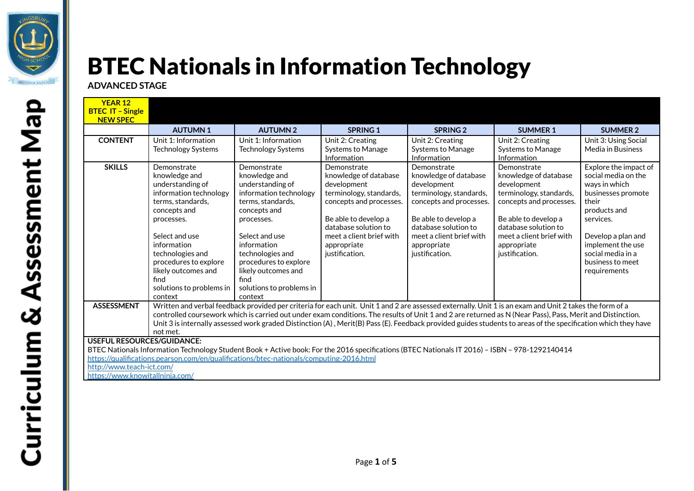

## BTEC Nationals in Information Technology

**ADVANCED STAGE**

| <b>YEAR 12</b><br><b>BTEC IT - Single</b><br><b>NEW SPEC</b>                                                                                                                                                                                                                                                                                   |                                                                                                                                                                                                                                                                                                                                                                                                                                                                                                   |                                                                                                                                                                                                                                                                                   |                                                                                                                                                                                                                        |                                                                                                                                                                                                                        |                                                                                                                                                                                                                        |                                                                                                                                                                                                                               |  |
|------------------------------------------------------------------------------------------------------------------------------------------------------------------------------------------------------------------------------------------------------------------------------------------------------------------------------------------------|---------------------------------------------------------------------------------------------------------------------------------------------------------------------------------------------------------------------------------------------------------------------------------------------------------------------------------------------------------------------------------------------------------------------------------------------------------------------------------------------------|-----------------------------------------------------------------------------------------------------------------------------------------------------------------------------------------------------------------------------------------------------------------------------------|------------------------------------------------------------------------------------------------------------------------------------------------------------------------------------------------------------------------|------------------------------------------------------------------------------------------------------------------------------------------------------------------------------------------------------------------------|------------------------------------------------------------------------------------------------------------------------------------------------------------------------------------------------------------------------|-------------------------------------------------------------------------------------------------------------------------------------------------------------------------------------------------------------------------------|--|
|                                                                                                                                                                                                                                                                                                                                                | <b>AUTUMN1</b>                                                                                                                                                                                                                                                                                                                                                                                                                                                                                    | <b>AUTUMN2</b>                                                                                                                                                                                                                                                                    | <b>SPRING 1</b>                                                                                                                                                                                                        | <b>SPRING 2</b>                                                                                                                                                                                                        | <b>SUMMER 1</b>                                                                                                                                                                                                        | <b>SUMMER 2</b>                                                                                                                                                                                                               |  |
| <b>CONTENT</b>                                                                                                                                                                                                                                                                                                                                 | Unit 1: Information<br><b>Technology Systems</b>                                                                                                                                                                                                                                                                                                                                                                                                                                                  | Unit 1: Information<br>Technology Systems                                                                                                                                                                                                                                         | Unit 2: Creating<br>Systems to Manage<br>Information                                                                                                                                                                   | Unit 2: Creating<br>Systems to Manage<br>Information                                                                                                                                                                   | Unit 2: Creating<br>Systems to Manage<br>Information                                                                                                                                                                   | Unit 3: Using Social<br>Media in Business                                                                                                                                                                                     |  |
| <b>SKILLS</b>                                                                                                                                                                                                                                                                                                                                  | Demonstrate<br>knowledge and<br>understanding of<br>information technology<br>terms, standards,<br>concepts and<br>processes.<br>Select and use<br>information<br>technologies and<br>procedures to explore<br>likely outcomes and<br>find<br>solutions to problems in<br>context                                                                                                                                                                                                                 | Demonstrate<br>knowledge and<br>understanding of<br>information technology<br>terms, standards,<br>concepts and<br>processes.<br>Select and use<br>information<br>technologies and<br>procedures to explore<br>likely outcomes and<br>find<br>solutions to problems in<br>context | Demonstrate<br>knowledge of database<br>development<br>terminology, standards,<br>concepts and processes.<br>Be able to develop a<br>database solution to<br>meet a client brief with<br>appropriate<br>justification. | Demonstrate<br>knowledge of database<br>development<br>terminology, standards,<br>concepts and processes.<br>Be able to develop a<br>database solution to<br>meet a client brief with<br>appropriate<br>justification. | Demonstrate<br>knowledge of database<br>development<br>terminology, standards,<br>concepts and processes.<br>Be able to develop a<br>database solution to<br>meet a client brief with<br>appropriate<br>justification. | Explore the impact of<br>social media on the<br>ways in which<br>businesses promote<br>their<br>products and<br>services.<br>Develop a plan and<br>implement the use<br>social media in a<br>business to meet<br>requirements |  |
| <b>ASSESSMENT</b>                                                                                                                                                                                                                                                                                                                              | Written and verbal feedback provided per criteria for each unit. Unit 1 and 2 are assessed externally. Unit 1 is an exam and Unit 2 takes the form of a<br>controlled coursework which is carried out under exam conditions. The results of Unit 1 and 2 are returned as N (Near Pass), Pass, Merit and Distinction.<br>Unit 3 is internally assessed work graded Distinction (A), Merit(B) Pass (E). Feedback provided guides students to areas of the specification which they have<br>not met. |                                                                                                                                                                                                                                                                                   |                                                                                                                                                                                                                        |                                                                                                                                                                                                                        |                                                                                                                                                                                                                        |                                                                                                                                                                                                                               |  |
| <b>USEFUL RESOURCES/GUIDANCE:</b><br>BTEC Nationals Information Technology Student Book + Active book: For the 2016 specifications (BTEC Nationals IT 2016) - ISBN - 978-1292140414<br>https://qualifications.pearson.com/en/qualifications/btec-nationals/computing-2016.html<br>http://www.teach-ict.com/<br>https://www.knowitallninia.com/ |                                                                                                                                                                                                                                                                                                                                                                                                                                                                                                   |                                                                                                                                                                                                                                                                                   |                                                                                                                                                                                                                        |                                                                                                                                                                                                                        |                                                                                                                                                                                                                        |                                                                                                                                                                                                                               |  |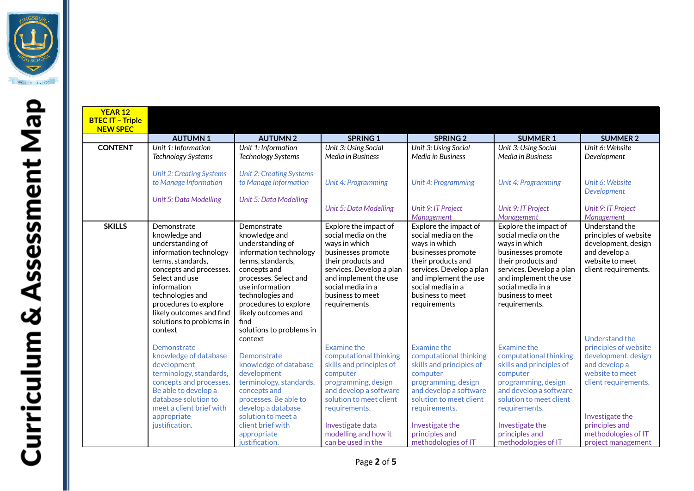

| <b>BTEC IT - Triple</b><br><b>NEW SPEC</b> |                                            |                                            |                                     |                                     |                                     |                                       |
|--------------------------------------------|--------------------------------------------|--------------------------------------------|-------------------------------------|-------------------------------------|-------------------------------------|---------------------------------------|
|                                            | <b>AUTUMN1</b>                             | <b>AUTUMN2</b>                             | <b>SPRING 1</b>                     | <b>SPRING 2</b>                     | <b>SUMMER 1</b>                     | <b>SUMMER 2</b>                       |
| <b>CONTENT</b>                             | Unit 1: Information                        | Unit 1: Information                        | Unit 3: Using Social                | Unit 3: Using Social                | Unit 3: Using Social                | Unit 6: Website                       |
|                                            | <b>Technology Systems</b>                  | <b>Technology Systems</b>                  | Media in Business                   | Media in Business                   | Media in Business                   | Development                           |
|                                            | <b>Unit 2: Creating Systems</b>            | <b>Unit 2: Creating Systems</b>            |                                     |                                     |                                     |                                       |
|                                            | to Manage Information                      | to Manage Information                      | Unit 4: Programming                 | <b>Unit 4: Programming</b>          | <b>Unit 4: Programming</b>          | Unit 6: Website<br><b>Development</b> |
|                                            | <b>Unit 5: Data Modelling</b>              | Unit 5: Data Modelling                     |                                     |                                     |                                     |                                       |
|                                            |                                            |                                            | Unit 5: Data Modelling              | Unit 9: IT Project                  | Unit 9: IT Project                  | Unit 9: IT Project                    |
|                                            |                                            |                                            |                                     | Management                          | Management                          | Management                            |
| <b>SKILLS</b>                              | Demonstrate                                | Demonstrate                                | Explore the impact of               | Explore the impact of               | Explore the impact of               | Understand the                        |
|                                            | knowledge and                              | knowledge and                              | social media on the                 | social media on the                 | social media on the                 | principles of web                     |
|                                            | understanding of<br>information technology | understanding of<br>information technology | ways in which<br>businesses promote | ways in which<br>businesses promote | ways in which<br>businesses promote | development, des<br>and develop a     |
|                                            | terms, standards,                          | terms, standards,                          | their products and                  | their products and                  | their products and                  | website to meet                       |
|                                            | concepts and processes.                    | concepts and                               | services. Develop a plan            | services. Develop a plan            | services. Develop a plan            | client requiremer                     |
|                                            | Select and use                             | processes. Select and                      | and implement the use               | and implement the use               | and implement the use               |                                       |
|                                            | information                                | use information                            | social media in a                   | social media in a                   | social media in a                   |                                       |
|                                            | technologies and                           | technologies and                           | business to meet                    | business to meet                    | business to meet                    |                                       |
|                                            | procedures to explore                      | procedures to explore                      | requirements                        | requirements                        | requirements.                       |                                       |
|                                            | likely outcomes and find                   | likely outcomes and                        |                                     |                                     |                                     |                                       |
|                                            | solutions to problems in                   | find                                       |                                     |                                     |                                     |                                       |
|                                            | context                                    | solutions to problems in                   |                                     |                                     |                                     |                                       |
|                                            |                                            | context                                    |                                     |                                     |                                     | Understand the                        |
|                                            | Demonstrate                                |                                            | <b>Examine the</b>                  | <b>Examine the</b>                  | Examine the                         | principles of web                     |
|                                            | knowledge of database                      | Demonstrate                                | computational thinking              | computational thinking              | computational thinking              | development, des                      |
|                                            | development                                | knowledge of database                      | skills and principles of            | skills and principles of            | skills and principles of            | and develop a                         |
|                                            | terminology, standards,                    | development                                | computer                            | computer                            | computer                            | website to meet                       |
|                                            | concepts and processes.                    | terminology, standards,                    | programming, design                 | programming, design                 | programming, design                 | client requiremer                     |
|                                            | Be able to develop a                       | concepts and                               | and develop a software              | and develop a software              | and develop a software              |                                       |
|                                            | database solution to                       | processes. Be able to                      | solution to meet client             | solution to meet client             | solution to meet client             |                                       |
|                                            | meet a client brief with                   | develop a database                         | requirements.                       | requirements.                       | requirements.                       |                                       |
|                                            | appropriate                                | solution to meet a                         |                                     |                                     |                                     | Investigate the                       |
|                                            | justification.                             | client brief with                          | Investigate data                    | Investigate the                     | Investigate the                     | principles and                        |
|                                            |                                            | appropriate                                | modelling and how it                | principles and                      | principles and                      | methodologies of                      |
|                                            |                                            | justification.                             | can be used in the                  | methodologies of IT                 | methodologies of IT                 | project managem                       |

Understand the principles of website development, design and develop a website to meet client requirements.

Understand the principles of website development, design and develop a website to meet client requirements.

Investigate the principles and methodologies of IT project management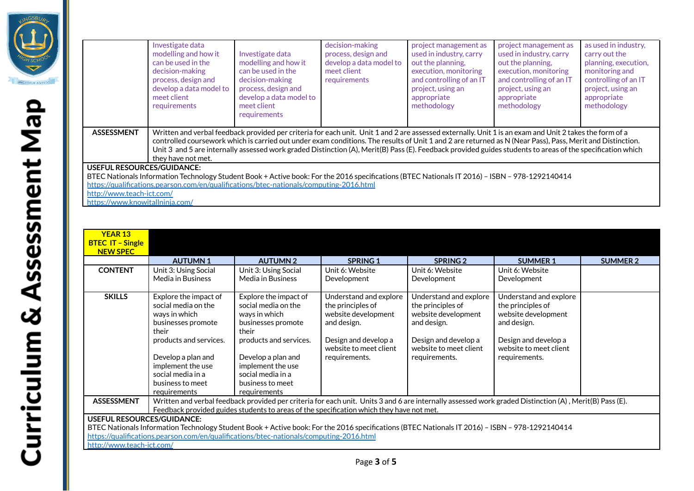

|                                                                                                                                                | Investigate data<br>modelling and how it<br>can be used in the<br>decision-making<br>process, design and<br>develop a data model to<br>meet client<br>requirements                                                                                                                                                                                                                                                                                                                                       | Investigate data<br>modelling and how it<br>can be used in the<br>decision-making<br>process, design and<br>develop a data model to<br>meet client<br>requirements | decision-making<br>process, design and<br>develop a data model to<br>meet client<br>requirements | project management as<br>used in industry, carry<br>out the planning.<br>execution, monitoring<br>and controlling of an IT<br>project, using an<br>appropriate<br>methodology | project management as<br>used in industry, carry<br>out the planning,<br>execution, monitoring<br>and controlling of an IT<br>project, using an<br>appropriate<br>methodology | as used in industry,<br>carry out the<br>planning, execution,<br>monitoring and<br>controlling of an IT<br>project, using an<br>appropriate<br>methodology |  |
|------------------------------------------------------------------------------------------------------------------------------------------------|----------------------------------------------------------------------------------------------------------------------------------------------------------------------------------------------------------------------------------------------------------------------------------------------------------------------------------------------------------------------------------------------------------------------------------------------------------------------------------------------------------|--------------------------------------------------------------------------------------------------------------------------------------------------------------------|--------------------------------------------------------------------------------------------------|-------------------------------------------------------------------------------------------------------------------------------------------------------------------------------|-------------------------------------------------------------------------------------------------------------------------------------------------------------------------------|------------------------------------------------------------------------------------------------------------------------------------------------------------|--|
| <b>ASSESSMENT</b>                                                                                                                              | Written and verbal feedback provided per criteria for each unit. Unit 1 and 2 are assessed externally. Unit 1 is an exam and Unit 2 takes the form of a<br>controlled coursework which is carried out under exam conditions. The results of Unit 1 and 2 are returned as N (Near Pass), Pass, Merit and Distinction.<br>Unit 3 and 5 are internally assessed work graded Distinction (A), Merit(B) Pass (E). Feedback provided guides students to areas of the specification which<br>they have not met. |                                                                                                                                                                    |                                                                                                  |                                                                                                                                                                               |                                                                                                                                                                               |                                                                                                                                                            |  |
| <b>USEFUL RESOURCES/GUIDANCE:</b>                                                                                                              |                                                                                                                                                                                                                                                                                                                                                                                                                                                                                                          |                                                                                                                                                                    |                                                                                                  |                                                                                                                                                                               |                                                                                                                                                                               |                                                                                                                                                            |  |
| BTEC Nationals Information Technology Student Book + Active book: For the 2016 specifications (BTEC Nationals IT 2016) – ISBN – 978-1292140414 |                                                                                                                                                                                                                                                                                                                                                                                                                                                                                                          |                                                                                                                                                                    |                                                                                                  |                                                                                                                                                                               |                                                                                                                                                                               |                                                                                                                                                            |  |
|                                                                                                                                                |                                                                                                                                                                                                                                                                                                                                                                                                                                                                                                          | https://qualifications.pearson.com/en/qualifications/btec-nationals/computing-2016.html                                                                            |                                                                                                  |                                                                                                                                                                               |                                                                                                                                                                               |                                                                                                                                                            |  |
| http://www.teach-ict.com/                                                                                                                      |                                                                                                                                                                                                                                                                                                                                                                                                                                                                                                          |                                                                                                                                                                    |                                                                                                  |                                                                                                                                                                               |                                                                                                                                                                               |                                                                                                                                                            |  |

<https://www.knowitallninja.com/>

| <b>YEAR 13</b><br><b>BTEC IT - Single</b>                                                                                                                                                                                                                                                                   |                                                                                                                                                                                                                                                    |                                                                                                                                                                                                                            |                                                                                                                                                      |                                                                                                                                                      |                                                                                                                                                      |                 |  |
|-------------------------------------------------------------------------------------------------------------------------------------------------------------------------------------------------------------------------------------------------------------------------------------------------------------|----------------------------------------------------------------------------------------------------------------------------------------------------------------------------------------------------------------------------------------------------|----------------------------------------------------------------------------------------------------------------------------------------------------------------------------------------------------------------------------|------------------------------------------------------------------------------------------------------------------------------------------------------|------------------------------------------------------------------------------------------------------------------------------------------------------|------------------------------------------------------------------------------------------------------------------------------------------------------|-----------------|--|
| <b>NEW SPEC</b>                                                                                                                                                                                                                                                                                             | <b>AUTUMN1</b>                                                                                                                                                                                                                                     | <b>AUTUMN2</b>                                                                                                                                                                                                             | <b>SPRING 1</b>                                                                                                                                      | <b>SPRING 2</b>                                                                                                                                      | <b>SUMMER 1</b>                                                                                                                                      | <b>SUMMER 2</b> |  |
| <b>CONTENT</b>                                                                                                                                                                                                                                                                                              | Unit 3: Using Social<br>Media in Business                                                                                                                                                                                                          | Unit 3: Using Social<br>Media in Business                                                                                                                                                                                  | Unit 6: Website<br>Development                                                                                                                       | Unit 6: Website<br>Development                                                                                                                       | Unit 6: Website<br>Development                                                                                                                       |                 |  |
| <b>SKILLS</b>                                                                                                                                                                                                                                                                                               | Explore the impact of<br>social media on the<br>ways in which<br>businesses promote<br>their<br>products and services.<br>Develop a plan and<br>implement the use<br>social media in a<br>business to meet<br>requirements                         | Explore the impact of<br>social media on the<br>ways in which<br>businesses promote<br>their<br>products and services.<br>Develop a plan and<br>implement the use<br>social media in a<br>business to meet<br>requirements | Understand and explore<br>the principles of<br>website development<br>and design.<br>Design and develop a<br>website to meet client<br>requirements. | Understand and explore<br>the principles of<br>website development<br>and design.<br>Design and develop a<br>website to meet client<br>requirements. | Understand and explore<br>the principles of<br>website development<br>and design.<br>Design and develop a<br>website to meet client<br>requirements. |                 |  |
| <b>ASSESSMENT</b>                                                                                                                                                                                                                                                                                           | Written and verbal feedback provided per criteria for each unit. Units 3 and 6 are internally assessed work graded Distinction (A), Merit(B) Pass (E).<br>Feedback provided guides students to areas of the specification which they have not met. |                                                                                                                                                                                                                            |                                                                                                                                                      |                                                                                                                                                      |                                                                                                                                                      |                 |  |
| <b>USEFUL RESOURCES/GUIDANCE:</b><br>BTEC Nationals Information Technology Student Book + Active book: For the 2016 specifications (BTEC Nationals IT 2016) - ISBN - 978-1292140414<br>https://qualifications.pearson.com/en/qualifications/btec-nationals/computing-2016.html<br>http://www.teach-ict.com/ |                                                                                                                                                                                                                                                    |                                                                                                                                                                                                                            |                                                                                                                                                      |                                                                                                                                                      |                                                                                                                                                      |                 |  |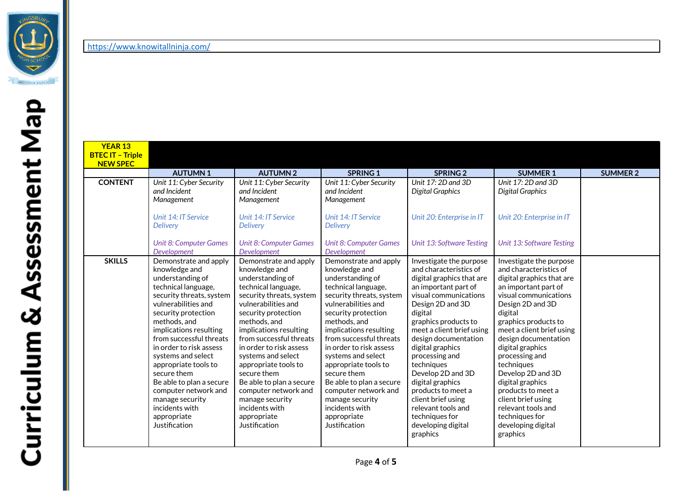

<https://www.knowitallninja.com/>

| <b>YEAR 13</b>          |                                                 |                                                 |                                                 |                                               |                                                   |                 |
|-------------------------|-------------------------------------------------|-------------------------------------------------|-------------------------------------------------|-----------------------------------------------|---------------------------------------------------|-----------------|
| <b>BTEC IT - Triple</b> |                                                 |                                                 |                                                 |                                               |                                                   |                 |
| <b>NEW SPEC</b>         | <b>AUTUMN1</b>                                  | <b>AUTUMN2</b>                                  | <b>SPRING 1</b>                                 | <b>SPRING 2</b>                               | <b>SUMMER 1</b>                                   | <b>SUMMER 2</b> |
| <b>CONTENT</b>          | Unit 11: Cyber Security                         | Unit 11: Cyber Security                         | Unit 11: Cyber Security                         | Unit $17:2D$ and $3D$                         | Unit $17:2D$ and $3D$                             |                 |
|                         | and Incident                                    | and Incident                                    | and Incident                                    | <b>Digital Graphics</b>                       | <b>Digital Graphics</b>                           |                 |
|                         | Management                                      | Management                                      | Management                                      |                                               |                                                   |                 |
|                         |                                                 |                                                 |                                                 |                                               |                                                   |                 |
|                         | Unit 14: IT Service                             | Unit 14: IT Service                             | Unit 14: IT Service                             | Unit 20: Enterprise in IT                     | Unit 20: Enterprise in IT                         |                 |
|                         | <b>Delivery</b>                                 | <b>Delivery</b>                                 | <b>Delivery</b>                                 |                                               |                                                   |                 |
|                         |                                                 |                                                 |                                                 |                                               |                                                   |                 |
|                         | <b>Unit 8: Computer Games</b>                   | <b>Unit 8: Computer Games</b>                   | <b>Unit 8: Computer Games</b>                   | Unit 13: Software Testing                     | <b>Unit 13: Software Testing</b>                  |                 |
|                         | Development                                     | <b>Development</b>                              | Development                                     |                                               |                                                   |                 |
| <b>SKILLS</b>           | Demonstrate and apply                           | Demonstrate and apply                           | Demonstrate and apply                           | Investigate the purpose                       | Investigate the purpose<br>and characteristics of |                 |
|                         | knowledge and                                   | knowledge and                                   | knowledge and                                   | and characteristics of                        |                                                   |                 |
|                         | understanding of                                | understanding of                                | understanding of                                | digital graphics that are                     | digital graphics that are                         |                 |
|                         | technical language,<br>security threats, system | technical language,<br>security threats, system | technical language,<br>security threats, system | an important part of<br>visual communications | an important part of<br>visual communications     |                 |
|                         | vulnerabilities and                             | vulnerabilities and                             | vulnerabilities and                             | Design 2D and 3D                              | Design 2D and 3D                                  |                 |
|                         | security protection                             | security protection                             | security protection                             | digital                                       | digital                                           |                 |
|                         | methods, and                                    | methods, and                                    | methods, and                                    | graphics products to                          | graphics products to                              |                 |
|                         | implications resulting                          | implications resulting                          | implications resulting                          | meet a client brief using                     | meet a client brief using                         |                 |
|                         | from successful threats                         | from successful threats                         | from successful threats                         | design documentation                          | design documentation                              |                 |
|                         | in order to risk assess                         | in order to risk assess                         | in order to risk assess                         | digital graphics                              | digital graphics                                  |                 |
|                         | systems and select                              | systems and select                              | systems and select                              | processing and                                | processing and                                    |                 |
|                         | appropriate tools to                            | appropriate tools to                            | appropriate tools to                            | techniques                                    | techniques                                        |                 |
|                         | secure them                                     | secure them                                     | secure them                                     | Develop 2D and 3D                             | Develop 2D and 3D                                 |                 |
|                         | Be able to plan a secure                        | Be able to plan a secure                        | Be able to plan a secure                        | digital graphics                              | digital graphics                                  |                 |
|                         | computer network and                            | computer network and                            | computer network and                            | products to meet a                            | products to meet a                                |                 |
|                         | manage security                                 | manage security                                 | manage security                                 | client brief using                            | client brief using                                |                 |
|                         | incidents with                                  | incidents with                                  | incidents with                                  | relevant tools and                            | relevant tools and                                |                 |
|                         | appropriate                                     | appropriate                                     | appropriate                                     | techniques for                                | techniques for                                    |                 |
|                         | Justification                                   | Justification                                   | Justification                                   | developing digital                            | developing digital                                |                 |
|                         |                                                 |                                                 |                                                 | graphics                                      | graphics                                          |                 |